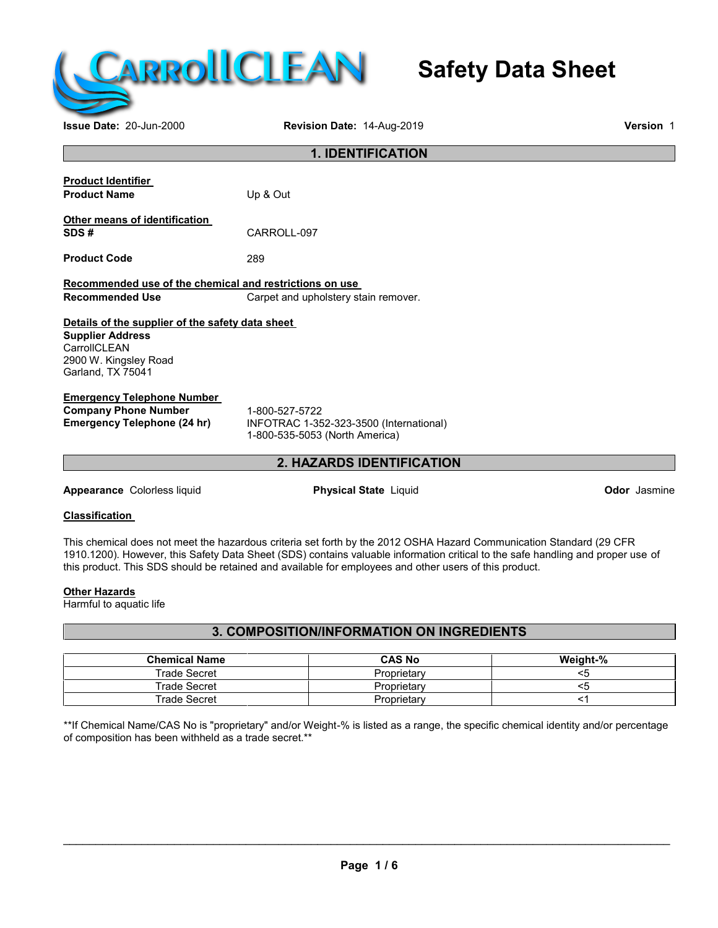

# **Safety Data Sheet**

**Issue Date:** 20-Jun-2000 **Revision Date:** 14-Aug-2019 **Version** 1

| <b>1. IDENTIFICATION</b>                                                                                                                  |                                                                                             |                     |
|-------------------------------------------------------------------------------------------------------------------------------------------|---------------------------------------------------------------------------------------------|---------------------|
|                                                                                                                                           |                                                                                             |                     |
| <b>Product Identifier</b><br><b>Product Name</b>                                                                                          | Up & Out                                                                                    |                     |
| Other means of identification                                                                                                             |                                                                                             |                     |
| SDS#                                                                                                                                      | CARROLL-097                                                                                 |                     |
| <b>Product Code</b>                                                                                                                       | 289                                                                                         |                     |
| Recommended use of the chemical and restrictions on use                                                                                   |                                                                                             |                     |
| <b>Recommended Use</b>                                                                                                                    | Carpet and upholstery stain remover.                                                        |                     |
| Details of the supplier of the safety data sheet<br><b>Supplier Address</b><br>CarrollCLEAN<br>2900 W. Kingsley Road<br>Garland, TX 75041 |                                                                                             |                     |
| <b>Emergency Telephone Number</b>                                                                                                         |                                                                                             |                     |
| <b>Company Phone Number</b><br><b>Emergency Telephone (24 hr)</b>                                                                         | 1-800-527-5722<br>INFOTRAC 1-352-323-3500 (International)<br>1-800-535-5053 (North America) |                     |
|                                                                                                                                           | 2. HAZARDS IDENTIFICATION                                                                   |                     |
| Appearance Colorless liquid                                                                                                               | <b>Physical State Liquid</b>                                                                | <b>Odor</b> Jasmine |

## **Classification**

This chemical does not meet the hazardous criteria set forth by the 2012 OSHA Hazard Communication Standard (29 CFR 1910.1200). However, this Safety Data Sheet (SDS) contains valuable information critical to the safe handling and proper use of this product. This SDS should be retained and available for employees and other users of this product.

## **Other Hazards**

Harmful to aquatic life

## **3. COMPOSITION/INFORMATION ON INGREDIENTS**

| <b>Chemical Name</b> | <b>CAS No</b> | Weight-% |
|----------------------|---------------|----------|
| <b>Trade Secret</b>  | Proprietary   |          |
| Trade Secret         | Proprietary   |          |
| Trade Secret         | Proprietary   |          |

\*\*If Chemical Name/CAS No is "proprietary" and/or Weight-% is listed as a range, the specific chemical identity and/or percentage of composition has been withheld as a trade secret.\*\*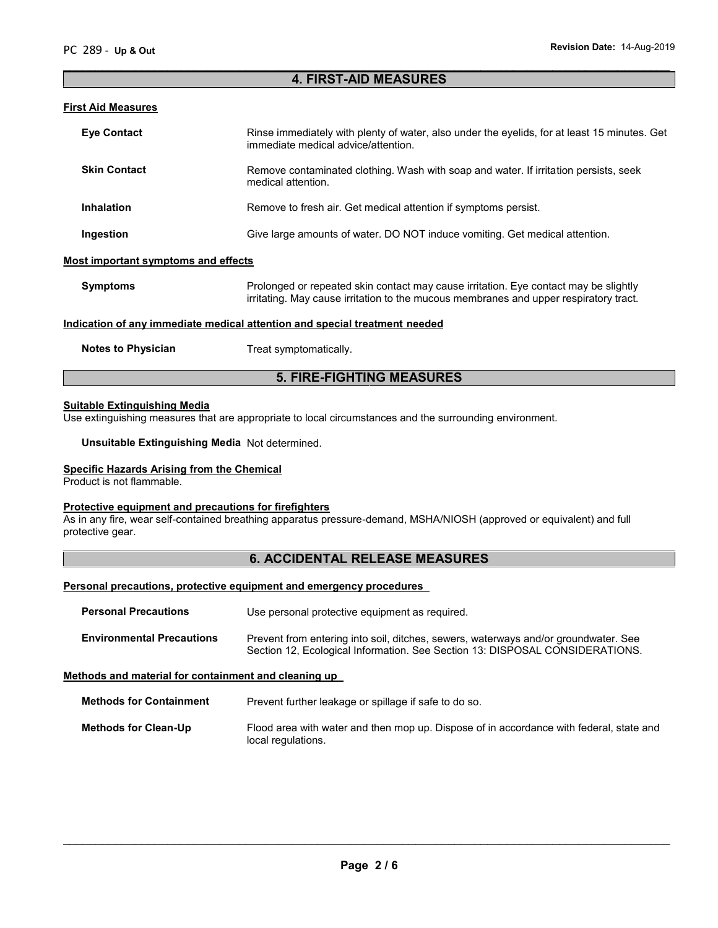## **4. FIRST-AID MEASURES**

 $\overline{\phantom{a}}$  , and the contribution of the contribution of the contribution of the contribution of the contribution of the contribution of the contribution of the contribution of the contribution of the contribution of the

#### **First Aid Measures**

| <b>Eye Contact</b>                                                         | Rinse immediately with plenty of water, also under the eyelids, for at least 15 minutes. Get<br>immediate medical advice/attention.                                           |  |
|----------------------------------------------------------------------------|-------------------------------------------------------------------------------------------------------------------------------------------------------------------------------|--|
| <b>Skin Contact</b>                                                        | Remove contaminated clothing. Wash with soap and water. If irritation persists, seek<br>medical attention.                                                                    |  |
| <b>Inhalation</b>                                                          | Remove to fresh air. Get medical attention if symptoms persist.                                                                                                               |  |
| Ingestion                                                                  | Give large amounts of water. DO NOT induce vomiting. Get medical attention.                                                                                                   |  |
| Most important symptoms and effects                                        |                                                                                                                                                                               |  |
| <b>Symptoms</b>                                                            | Prolonged or repeated skin contact may cause irritation. Eye contact may be slightly<br>irritating. May cause irritation to the mucous membranes and upper respiratory tract. |  |
| Indication of any immediate medical attention and special treatment needed |                                                                                                                                                                               |  |

#### **Notes to Physician** Treat symptomatically.

## **5. FIRE-FIGHTING MEASURES**

#### **Suitable Extinguishing Media**

Use extinguishing measures that are appropriate to local circumstances and the surrounding environment.

**Unsuitable Extinguishing Media** Not determined.

#### **Specific Hazards Arising from the Chemical**

Product is not flammable.

#### **Protective equipment and precautions for firefighters**

As in any fire, wear self-contained breathing apparatus pressure-demand, MSHA/NIOSH (approved or equivalent) and full protective gear.

## **6. ACCIDENTAL RELEASE MEASURES**

#### **Personal precautions, protective equipment and emergency procedures**

| <b>Personal Precautions</b> | Use personal protective equipment as required. |
|-----------------------------|------------------------------------------------|
|-----------------------------|------------------------------------------------|

| <b>Environmental Precautions</b> | Prevent from entering into soil, ditches, sewers, waterways and/or groundwater. See |
|----------------------------------|-------------------------------------------------------------------------------------|
|                                  | Section 12, Ecological Information. See Section 13: DISPOSAL CONSIDERATIONS.        |

## **Methods and material for containment and cleaning up**

**Methods for Containment** Prevent further leakage or spillage if safe to do so.

**Methods for Clean-Up** Flood area with water and then mop up. Dispose of in accordance with federal, state and local regulations.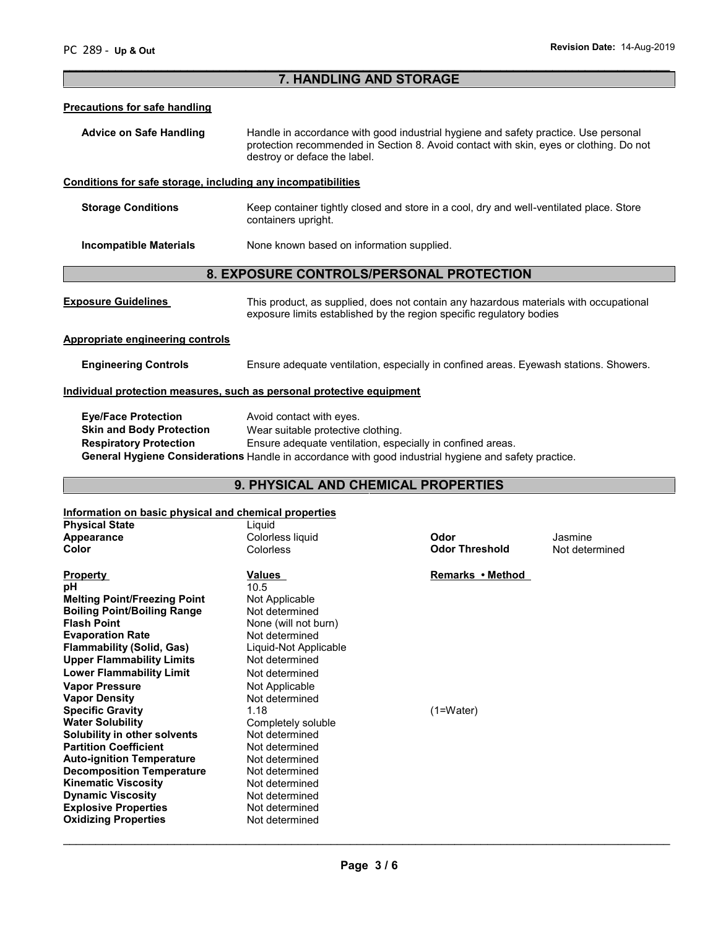## **7. HANDLING AND STORAGE**

 $\overline{\phantom{a}}$  , and the contribution of the contribution of the contribution of the contribution of the contribution of the contribution of the contribution of the contribution of the contribution of the contribution of the

#### **Precautions for safe handling**

Advice on Safe Handling **Handle in accordance with good industrial hygiene and safety practice. Use personal** protection recommended in Section 8. Avoid contact with skin, eyes or clothing. Do not destroy or deface the label.

## **Conditions for safe storage, including any incompatibilities**

**Storage Conditions** Keep container tightly closed and store in a cool, dry and well-ventilated place. Store containers upright.

**Incompatible Materials** None known based on information supplied.

## **8. EXPOSURE CONTROLS/PERSONAL PROTECTION**

| <b>Exposure Guidelines</b> | This product, as supplied, does not contain any hazardous materials with occupational |
|----------------------------|---------------------------------------------------------------------------------------|
|                            | exposure limits established by the region specific regulatory bodies                  |

#### **Appropriate engineering controls**

**Engineering Controls** Ensure adequate ventilation, especially in confined areas. Eyewash stations. Showers.

#### **Individual protection measures, such as personal protective equipment**

| <b>Eye/Face Protection</b>      | Avoid contact with eyes.                                                                              |
|---------------------------------|-------------------------------------------------------------------------------------------------------|
| <b>Skin and Body Protection</b> | Wear suitable protective clothing.                                                                    |
| <b>Respiratory Protection</b>   | Ensure adequate ventilation, especially in confined areas.                                            |
|                                 | General Hygiene Considerations Handle in accordance with good industrial hygiene and safety practice. |

# **9. PHYSICAL AND CHEMICAL PROPERTIES**

## **Information on basic physical and chemical properties**

| <b>Physical State</b>               | Liquid                |                       |                |
|-------------------------------------|-----------------------|-----------------------|----------------|
| Appearance                          | Colorless liquid      | Odor                  | Jasmine        |
| Color                               | <b>Colorless</b>      | <b>Odor Threshold</b> | Not determined |
| <b>Property</b>                     | Values                | Remarks • Method      |                |
|                                     |                       |                       |                |
| pН                                  | 10.5                  |                       |                |
| <b>Melting Point/Freezing Point</b> | Not Applicable        |                       |                |
| <b>Boiling Point/Boiling Range</b>  | Not determined        |                       |                |
| Flash Point                         | None (will not burn)  |                       |                |
| <b>Evaporation Rate</b>             | Not determined        |                       |                |
| Flammability (Solid, Gas)           | Liquid-Not Applicable |                       |                |
| <b>Upper Flammability Limits</b>    | Not determined        |                       |                |
| <b>Lower Flammability Limit</b>     | Not determined        |                       |                |
| <b>Vapor Pressure</b>               | Not Applicable        |                       |                |
| Vapor Density                       | Not determined        |                       |                |
| <b>Specific Gravity</b>             | 1.18                  | $(1=Water)$           |                |
| Water Solubility                    | Completely soluble    |                       |                |
| Solubility in other solvents        | Not determined        |                       |                |
| <b>Partition Coefficient</b>        | Not determined        |                       |                |
| <b>Auto-ignition Temperature</b>    | Not determined        |                       |                |
| <b>Decomposition Temperature</b>    | Not determined        |                       |                |
| <b>Kinematic Viscosity</b>          | Not determined        |                       |                |
| <b>Dynamic Viscosity</b>            | Not determined        |                       |                |
| <b>Explosive Properties</b>         | Not determined        |                       |                |
| <b>Oxidizing Properties</b>         | Not determined        |                       |                |
|                                     |                       |                       |                |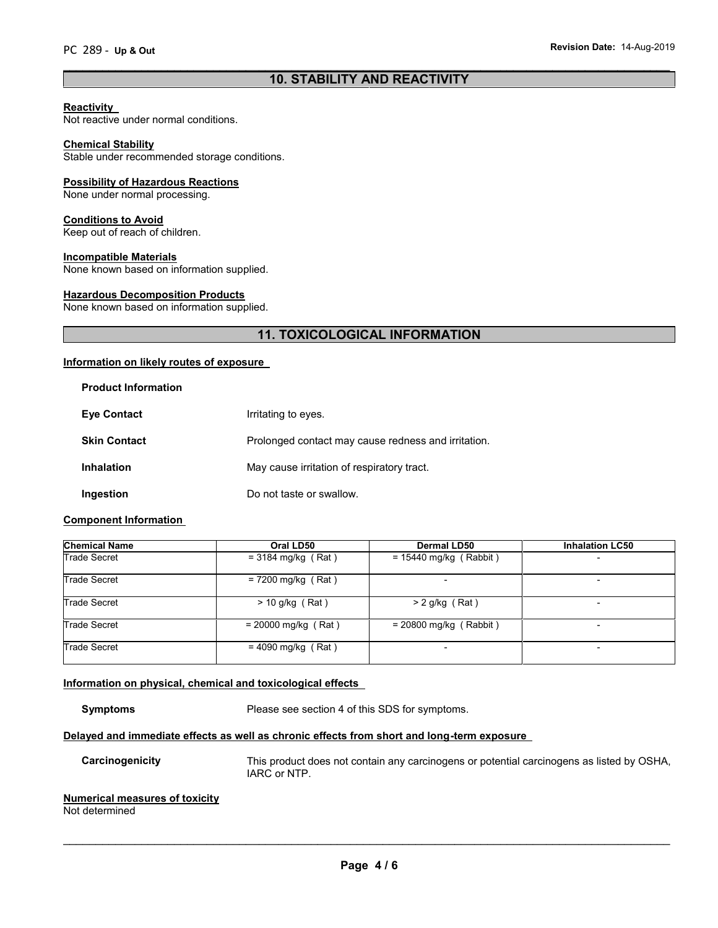## $\overline{\phantom{a}}$  , and the contribution of the contribution of the contribution of the contribution of the contribution of the contribution of the contribution of the contribution of the contribution of the contribution of the **10. STABILITY AND REACTIVITY**

#### **Reactivity**

Not reactive under normal conditions.

#### **Chemical Stability**

Stable under recommended storage conditions.

#### **Possibility of Hazardous Reactions**

None under normal processing.

#### **Conditions to Avoid**

Keep out of reach of children.

#### **Incompatible Materials**

None known based on information supplied.

#### **Hazardous Decomposition Products**

None known based on information supplied.

# **11. TOXICOLOGICAL INFORMATION**

## **Information on likely routes of exposure**

| <b>Product Information</b> |                                                     |
|----------------------------|-----------------------------------------------------|
| <b>Eve Contact</b>         | Irritating to eyes.                                 |
| <b>Skin Contact</b>        | Prolonged contact may cause redness and irritation. |
| <b>Inhalation</b>          | May cause irritation of respiratory tract.          |
| Ingestion                  | Do not taste or swallow.                            |

#### **Component Information**

| <b>Chemical Name</b> | Oral LD50             | <b>Dermal LD50</b>       | <b>Inhalation LC50</b>   |
|----------------------|-----------------------|--------------------------|--------------------------|
| Trade Secret         | $=$ 3184 mg/kg (Rat)  | $= 15440$ mg/kg (Rabbit) | $\overline{\phantom{0}}$ |
| Trade Secret         | $= 7200$ mg/kg (Rat)  |                          |                          |
| Trade Secret         | $>$ 10 g/kg (Rat)     | $> 2$ g/kg (Rat)         |                          |
| Trade Secret         | $= 20000$ mg/kg (Rat) | $= 20800$ mg/kg (Rabbit) |                          |
| <b>Trade Secret</b>  | $= 4090$ mg/kg (Rat)  |                          | $\overline{\phantom{0}}$ |

#### **Information on physical, chemical and toxicological effects**

**Symptoms** Please see section 4 of this SDS for symptoms.

## **Delayed and immediate effects as well as chronic effects from short and long-term exposure**

**Carcinogenicity** This product does not contain any carcinogens or potential carcinogens as listed by OSHA, IARC or NTP.

#### **Numerical measures of toxicity**

Not determined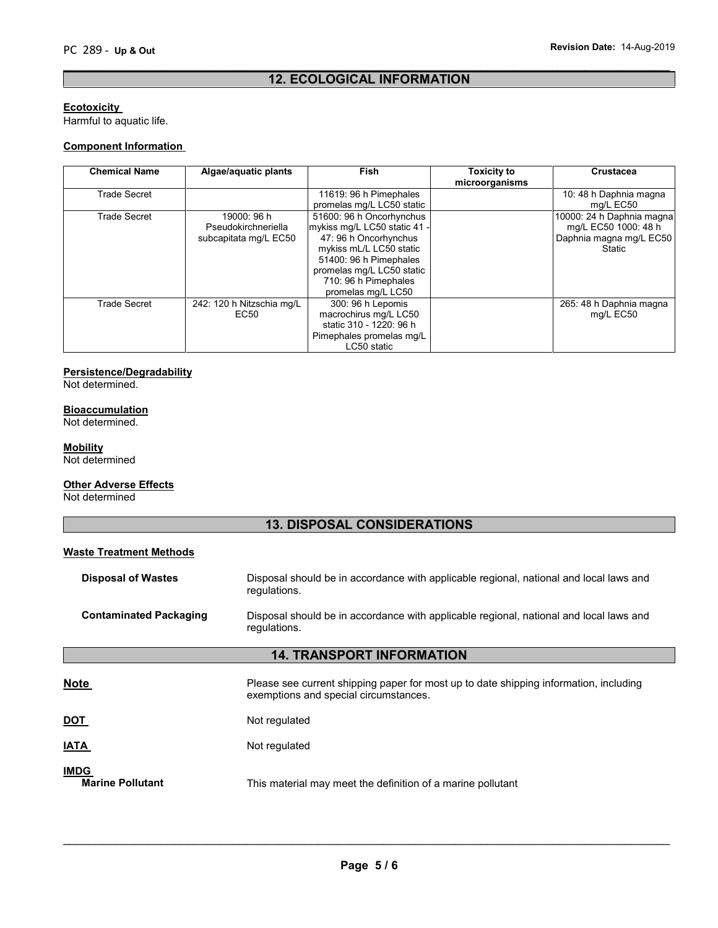## $\overline{\phantom{a}}$  , and the contribution of the contribution of the contribution of the contribution of the contribution of the contribution of the contribution of the contribution of the contribution of the contribution of the **12. ECOLOGICAL INFORMATION**

## **Ecotoxicity**

Harmful to aquatic life.

## **Component Information**

| <b>Chemical Name</b> | Algae/aquatic plants                                        | <b>Fish</b>                                                                                                                                                                                                       | <b>Toxicity to</b><br>microorganisms | <b>Crustacea</b>                                                                       |
|----------------------|-------------------------------------------------------------|-------------------------------------------------------------------------------------------------------------------------------------------------------------------------------------------------------------------|--------------------------------------|----------------------------------------------------------------------------------------|
| <b>Trade Secret</b>  |                                                             | 11619: 96 h Pimephales<br>promelas mg/L LC50 static                                                                                                                                                               |                                      | 10: 48 h Daphnia magna<br>mg/L EC50                                                    |
| <b>Trade Secret</b>  | 19000: 96 h<br>Pseudokirchneriella<br>subcapitata mg/L EC50 | 51600: 96 h Oncorhynchus<br>mykiss mg/L LC50 static 41 -<br>47: 96 h Oncorhynchus<br>mykiss mL/L LC50 static<br>51400: 96 h Pimephales<br>promelas mg/L LC50 static<br>710: 96 h Pimephales<br>promelas mg/L LC50 |                                      | 10000: 24 h Daphnia magna<br>mg/L EC50 1000: 48 h<br>Daphnia magna mg/L EC50<br>Static |
| <b>Trade Secret</b>  | 242: 120 h Nitzschia mg/L<br>EC50                           | 300: 96 h Lepomis<br>macrochirus mg/L LC50<br>static 310 - 1220: 96 h<br>Pimephales promelas mg/L<br>LC50 static                                                                                                  |                                      | 265: 48 h Daphnia magna<br>mg/L EC50                                                   |

## **Persistence/Degradability**

Not determined.

## **Bioaccumulation**

Not determined.

## **Mobility**

Not determined

#### **Other Adverse Effects**

Not determined

# **13. DISPOSAL CONSIDERATIONS**

| <b>Waste Treatment Methods</b>         |                                                                                                                                |
|----------------------------------------|--------------------------------------------------------------------------------------------------------------------------------|
| <b>Disposal of Wastes</b>              | Disposal should be in accordance with applicable regional, national and local laws and<br>regulations.                         |
| <b>Contaminated Packaging</b>          | Disposal should be in accordance with applicable regional, national and local laws and<br>regulations.                         |
|                                        | <b>14. TRANSPORT INFORMATION</b>                                                                                               |
| <b>Note</b>                            | Please see current shipping paper for most up to date shipping information, including<br>exemptions and special circumstances. |
| <b>DOT</b>                             | Not regulated                                                                                                                  |
| IATA                                   | Not regulated                                                                                                                  |
| <b>IMDG</b><br><b>Marine Pollutant</b> | This material may meet the definition of a marine pollutant                                                                    |